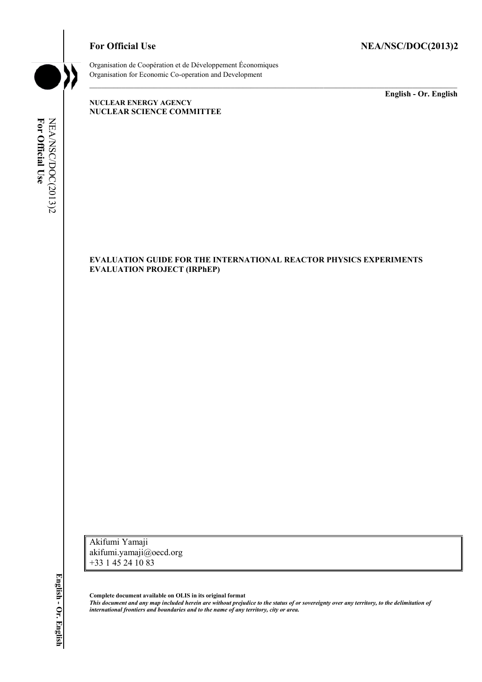\_\_\_\_\_\_\_\_\_\_\_\_\_ **English - Or. English**



Organisation de Coopération et de Développement Économiques Organisation for Economic Co-operation and Development

**NUCLEAR ENERGY AGENCY NUCLEAR SCIENCE COMMITTEE**

NEA/NSC/DOC(2013)2<br>For Official Use NEA/NSC/DOC(2013)2 **For Official Use**

#### **EVALUATION GUIDE FOR THE INTERNATIONAL REACTOR PHYSICS EXPERIMENTS EVALUATION PROJECT (IRPhEP)**

Akifumi Yamaji akifumi.yamaji@oecd.org +33 1 45 24 10 83

**Complete document available on OLIS in its original format** *This document and any map included herein are without prejudice to the status of or sovereignty over any territory, to the delimitation of international frontiers and boundaries and to the name of any territory, city or area.*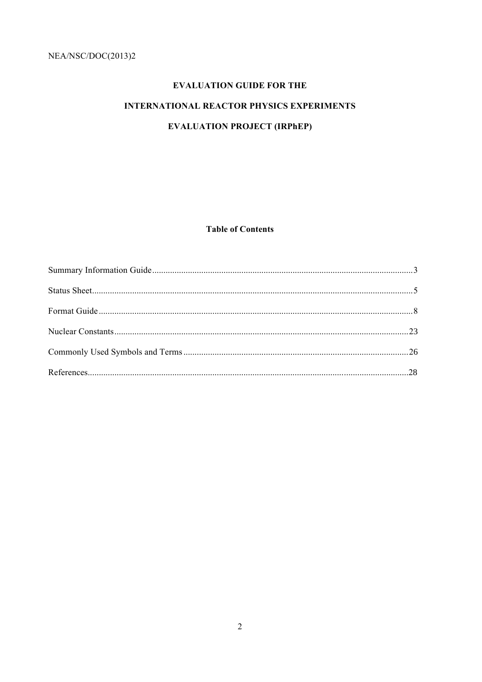# **EVALUATION GUIDE FOR THE**

# **INTERNATIONAL REACTOR PHYSICS EXPERIMENTS**

# **EVALUATION PROJECT (IRPhEP)**

**Table of Contents**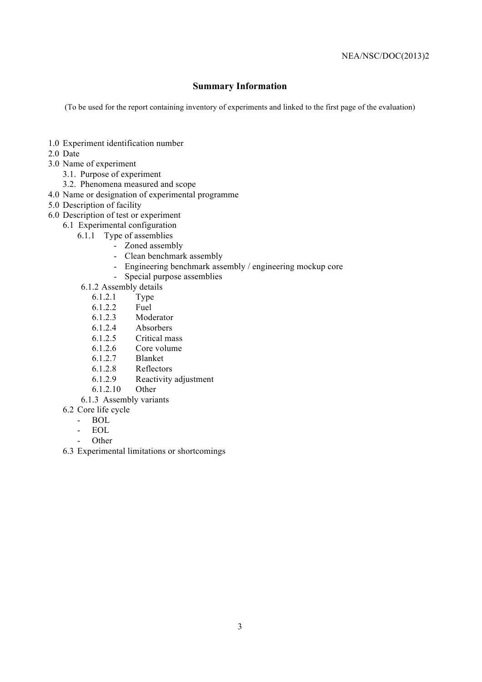## **Summary Information**

(To be used for the report containing inventory of experiments and linked to the first page of the evaluation)

- 1.0 Experiment identification number
- 2.0 Date
- 3.0 Name of experiment
	- 3.1. Purpose of experiment
	- 3.2. Phenomena measured and scope
- 4.0 Name or designation of experimental programme
- 5.0 Description of facility
- 6.0 Description of test or experiment
	- 6.1 Experimental configuration
		- 6.1.1 Type of assemblies
			- Zoned assembly
			- Clean benchmark assembly
			- Engineering benchmark assembly / engineering mockup core
			- Special purpose assemblies
			- 6.1.2 Assembly details
				- 6.1.2.1 Type
				- 6.1.2.2 Fuel
				- 6.1.2.3 Moderator
				- 6.1.2.4 Absorbers
				- 6.1.2.5 Critical mass
				- 6.1.2.6 Core volume
				- 6.1.2.7 Blanket
				- 6.1.2.8 Reflectors
				- 6.1.2.9 Reactivity adjustment
				- 6.1.2.10 Other
			- 6.1.3 Assembly variants
	- 6.2 Core life cycle
		- BOL
			- EOL
			- **Other**
	- 6.3 Experimental limitations or shortcomings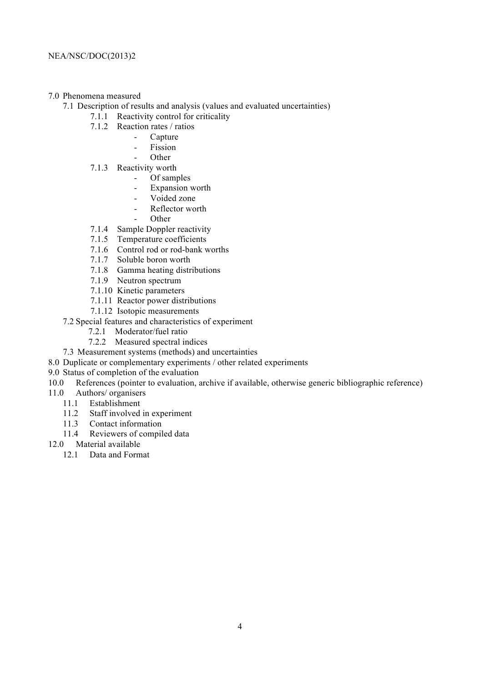#### 7.0 Phenomena measured

- 7.1 Description of results and analysis (values and evaluated uncertainties)
	- 7.1.1 Reactivity control for criticality
	- 7.1.2 Reaction rates / ratios
		- **Capture** 
			- Fission
			- **Other**
	- 7.1.3 Reactivity worth
		- Of samples
		- Expansion worth
		- Voided zone
		- Reflector worth
		- Other
	- 7.1.4 Sample Doppler reactivity
	- 7.1.5 Temperature coefficients
	- 7.1.6 Control rod or rod-bank worths
	- 7.1.7 Soluble boron worth
	- 7.1.8 Gamma heating distributions
	- 7.1.9 Neutron spectrum
	- 7.1.10 Kinetic parameters
	- 7.1.11 Reactor power distributions
	- 7.1.12 Isotopic measurements
- 7.2 Special features and characteristics of experiment
	- 7.2.1 Moderator/fuel ratio
	- 7.2.2 Measured spectral indices
- 7.3 Measurement systems (methods) and uncertainties
- 8.0 Duplicate or complementary experiments / other related experiments
- 9.0 Status of completion of the evaluation
- 10.0 References (pointer to evaluation, archive if available, otherwise generic bibliographic reference)
- 11.0 Authors/ organisers
	- 11.1 Establishment
	- 11.2 Staff involved in experiment
	- 11.3 Contact information
		- 11.4 Reviewers of compiled data
- 12.0 Material available
	- 12.1 Data and Format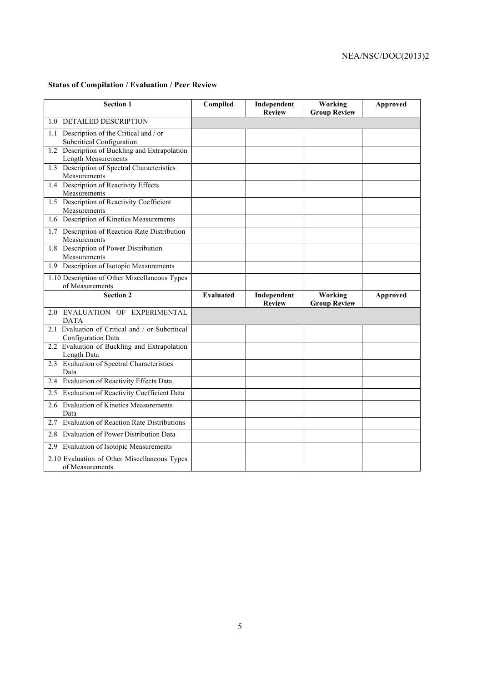# NEA/NSC/DOC(2013)2

#### **Status of Compilation / Evaluation / Peer Review**

| <b>Section 1</b>                                                         | Compiled         | Independent<br><b>Review</b> | Working<br><b>Group Review</b> | <b>Approved</b> |
|--------------------------------------------------------------------------|------------------|------------------------------|--------------------------------|-----------------|
| 1.0 DETAILED DESCRIPTION                                                 |                  |                              |                                |                 |
| Description of the Critical and / or<br>1.1<br>Subcritical Configuration |                  |                              |                                |                 |
| 1.2 Description of Buckling and Extrapolation<br>Length Measurements     |                  |                              |                                |                 |
| 1.3 Description of Spectral Characteristics<br>Measurements              |                  |                              |                                |                 |
| 1.4 Description of Reactivity Effects<br>Measurements                    |                  |                              |                                |                 |
| 1.5 Description of Reactivity Coefficient<br>Measurements                |                  |                              |                                |                 |
| 1.6 Description of Kinetics Measurements                                 |                  |                              |                                |                 |
| 1.7 Description of Reaction-Rate Distribution<br>Measurements            |                  |                              |                                |                 |
| 1.8 Description of Power Distribution<br>Measurements                    |                  |                              |                                |                 |
| 1.9 Description of Isotopic Measurements                                 |                  |                              |                                |                 |
| 1.10 Description of Other Miscellaneous Types<br>of Measurements         |                  |                              |                                |                 |
| <b>Section 2</b>                                                         | <b>Evaluated</b> | Independent<br><b>Review</b> | Working<br><b>Group Review</b> | Approved        |
| 2.0 EVALUATION OF EXPERIMENTAL<br><b>DATA</b>                            |                  |                              |                                |                 |
| 2.1 Evaluation of Critical and / or Subcritical<br>Configuration Data    |                  |                              |                                |                 |
| 2.2 Evaluation of Buckling and Extrapolation<br>Length Data              |                  |                              |                                |                 |
| 2.3 Evaluation of Spectral Characteristics<br>Data                       |                  |                              |                                |                 |
| Evaluation of Reactivity Effects Data<br>2.4                             |                  |                              |                                |                 |
| 2.5 Evaluation of Reactivity Coefficient Data                            |                  |                              |                                |                 |
| <b>Evaluation of Kinetics Measurements</b><br>2.6<br>Data                |                  |                              |                                |                 |
| <b>Evaluation of Reaction Rate Distributions</b><br>2.7                  |                  |                              |                                |                 |
| Evaluation of Power Distribution Data<br>2.8                             |                  |                              |                                |                 |
| 2.9 Evaluation of Isotopic Measurements                                  |                  |                              |                                |                 |
| 2.10 Evaluation of Other Miscellaneous Types<br>of Measurements          |                  |                              |                                |                 |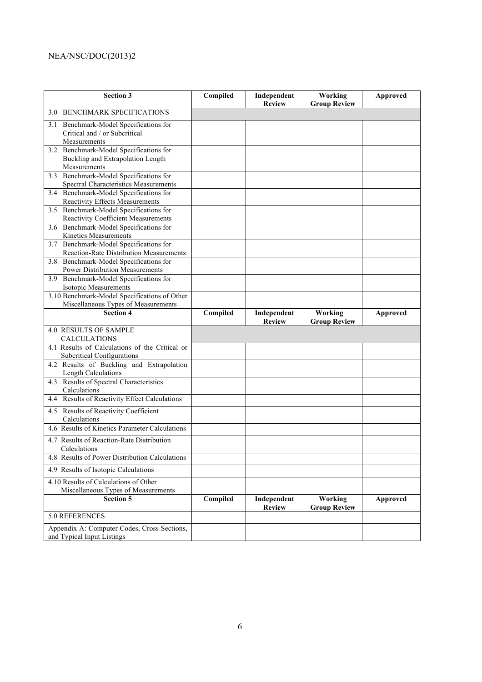# NEA/NSC/DOC(2013)2

| <b>Section 3</b>                                                            | Compiled | Independent<br><b>Review</b> | Working<br><b>Group Review</b> | Approved |
|-----------------------------------------------------------------------------|----------|------------------------------|--------------------------------|----------|
| <b>BENCHMARK SPECIFICATIONS</b><br>3.0                                      |          |                              |                                |          |
| Benchmark-Model Specifications for<br>3.1                                   |          |                              |                                |          |
| Critical and / or Subcritical                                               |          |                              |                                |          |
| Measurements                                                                |          |                              |                                |          |
| 3.2 Benchmark-Model Specifications for<br>Buckling and Extrapolation Length |          |                              |                                |          |
| Measurements                                                                |          |                              |                                |          |
| 3.3 Benchmark-Model Specifications for                                      |          |                              |                                |          |
| Spectral Characteristics Measurements                                       |          |                              |                                |          |
| 3.4 Benchmark-Model Specifications for                                      |          |                              |                                |          |
| Reactivity Effects Measurements                                             |          |                              |                                |          |
| 3.5 Benchmark-Model Specifications for                                      |          |                              |                                |          |
| Reactivity Coefficient Measurements<br>Benchmark-Model Specifications for   |          |                              |                                |          |
| 3.6<br>Kinetics Measurements                                                |          |                              |                                |          |
| 3.7 Benchmark-Model Specifications for                                      |          |                              |                                |          |
| <b>Reaction-Rate Distribution Measurements</b>                              |          |                              |                                |          |
| Benchmark-Model Specifications for<br>3.8                                   |          |                              |                                |          |
| Power Distribution Measurements                                             |          |                              |                                |          |
| 3.9 Benchmark-Model Specifications for                                      |          |                              |                                |          |
| Isotopic Measurements                                                       |          |                              |                                |          |
| 3.10 Benchmark-Model Specifications of Other                                |          |                              |                                |          |
| Miscellaneous Types of Measurements<br><b>Section 4</b>                     | Compiled | Independent                  | Working                        | Approved |
|                                                                             |          | <b>Review</b>                | <b>Group Review</b>            |          |
| <b>4.0 RESULTS OF SAMPLE</b><br><b>CALCULATIONS</b>                         |          |                              |                                |          |
| 4.1 Results of Calculations of the Critical or                              |          |                              |                                |          |
| Subcritical Configurations                                                  |          |                              |                                |          |
| 4.2 Results of Buckling and Extrapolation<br>Length Calculations            |          |                              |                                |          |
| 4.3 Results of Spectral Characteristics                                     |          |                              |                                |          |
| Calculations                                                                |          |                              |                                |          |
| 4.4 Results of Reactivity Effect Calculations                               |          |                              |                                |          |
| 4.5 Results of Reactivity Coefficient                                       |          |                              |                                |          |
| Calculations<br>4.6 Results of Kinetics Parameter Calculations              |          |                              |                                |          |
| 4.7 Results of Reaction-Rate Distribution                                   |          |                              |                                |          |
| Calculations                                                                |          |                              |                                |          |
| 4.8 Results of Power Distribution Calculations                              |          |                              |                                |          |
| 4.9 Results of Isotopic Calculations                                        |          |                              |                                |          |
| 4.10 Results of Calculations of Other                                       |          |                              |                                |          |
| Miscellaneous Types of Measurements                                         |          |                              |                                |          |
| <b>Section 5</b>                                                            | Compiled | Independent<br><b>Review</b> | Working<br><b>Group Review</b> | Approved |
| 5.0 REFERENCES                                                              |          |                              |                                |          |
| Appendix A: Computer Codes, Cross Sections,                                 |          |                              |                                |          |
| and Typical Input Listings                                                  |          |                              |                                |          |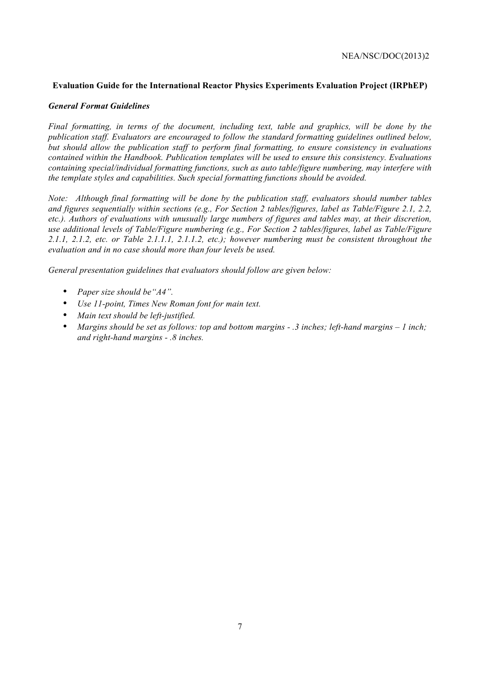#### **Evaluation Guide for the International Reactor Physics Experiments Evaluation Project (IRPhEP)**

#### *General Format Guidelines*

*Final formatting, in terms of the document, including text, table and graphics, will be done by the publication staff. Evaluators are encouraged to follow the standard formatting guidelines outlined below, but should allow the publication staff to perform final formatting, to ensure consistency in evaluations contained within the Handbook. Publication templates will be used to ensure this consistency. Evaluations containing special/individual formatting functions, such as auto table/figure numbering, may interfere with the template styles and capabilities. Such special formatting functions should be avoided.*

*Note: Although final formatting will be done by the publication staff, evaluators should number tables and figures sequentially within sections (e.g., For Section 2 tables/figures, label as Table/Figure 2.1, 2.2, etc.). Authors of evaluations with unusually large numbers of figures and tables may, at their discretion, use additional levels of Table/Figure numbering (e.g., For Section 2 tables/figures, label as Table/Figure 2.1.1, 2.1.2, etc. or Table 2.1.1.1, 2.1.1.2, etc.); however numbering must be consistent throughout the evaluation and in no case should more than four levels be used.*

*General presentation guidelines that evaluators should follow are given below:*

- *Paper size should be"A4".*
- *Use 11-point, Times New Roman font for main text.*
- *Main text should be left-justified.*
- *Margins should be set as follows: top and bottom margins - .3 inches; left-hand margins – 1 inch; and right-hand margins - .8 inches.*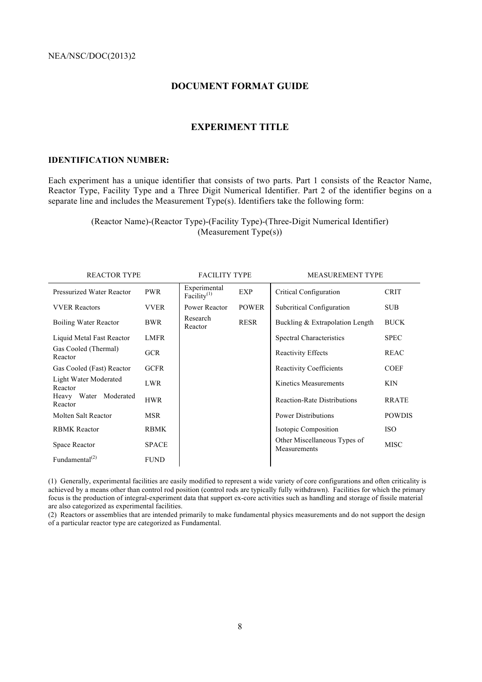### **DOCUMENT FORMAT GUIDE**

#### **EXPERIMENT TITLE**

#### **IDENTIFICATION NUMBER:**

Each experiment has a unique identifier that consists of two parts. Part 1 consists of the Reactor Name, Reactor Type, Facility Type and a Three Digit Numerical Identifier. Part 2 of the identifier begins on a separate line and includes the Measurement Type(s). Identifiers take the following form:

> (Reactor Name)-(Reactor Type)-(Facility Type)-(Three-Digit Numerical Identifier) (Measurement Type(s))

| <b>REACTOR TYPE</b>              |              | <b>FACILITY TYPE</b>           |              | <b>MEASUREMENT TYPE</b>                      |               |
|----------------------------------|--------------|--------------------------------|--------------|----------------------------------------------|---------------|
| <b>Pressurized Water Reactor</b> | <b>PWR</b>   | Experimental<br>Facility $(1)$ | <b>EXP</b>   | Critical Configuration                       | <b>CRIT</b>   |
| <b>VVER Reactors</b>             | <b>VVER</b>  | Power Reactor                  | <b>POWER</b> | Subcritical Configuration                    | <b>SUB</b>    |
| Boiling Water Reactor            | BWR          | Research<br>Reactor            | <b>RESR</b>  | Buckling & Extrapolation Length              | <b>BUCK</b>   |
| Liquid Metal Fast Reactor        | <b>LMFR</b>  |                                |              | Spectral Characteristics                     | <b>SPEC</b>   |
| Gas Cooled (Thermal)<br>Reactor  | <b>GCR</b>   |                                |              | <b>Reactivity Effects</b>                    | <b>REAC</b>   |
| Gas Cooled (Fast) Reactor        | <b>GCFR</b>  |                                |              | <b>Reactivity Coefficients</b>               | <b>COEF</b>   |
| Light Water Moderated<br>Reactor | LWR          |                                |              | Kinetics Measurements                        | <b>KIN</b>    |
| Heavy Water Moderated<br>Reactor | <b>HWR</b>   |                                |              | <b>Reaction-Rate Distributions</b>           | <b>RRATE</b>  |
| Molten Salt Reactor              | MSR          |                                |              | <b>Power Distributions</b>                   | <b>POWDIS</b> |
| <b>RBMK</b> Reactor              | <b>RBMK</b>  |                                |              | Isotopic Composition                         | <b>ISO</b>    |
| Space Reactor                    | <b>SPACE</b> |                                |              | Other Miscellaneous Types of<br>Measurements | <b>MISC</b>   |
| Fundamental <sup>(2)</sup>       | <b>FUND</b>  |                                |              |                                              |               |

(1) Generally, experimental facilities are easily modified to represent a wide variety of core configurations and often criticality is achieved by a means other than control rod position (control rods are typically fully withdrawn). Facilities for which the primary focus is the production of integral-experiment data that support ex-core activities such as handling and storage of fissile material are also categorized as experimental facilities.

(2) Reactors or assemblies that are intended primarily to make fundamental physics measurements and do not support the design of a particular reactor type are categorized as Fundamental.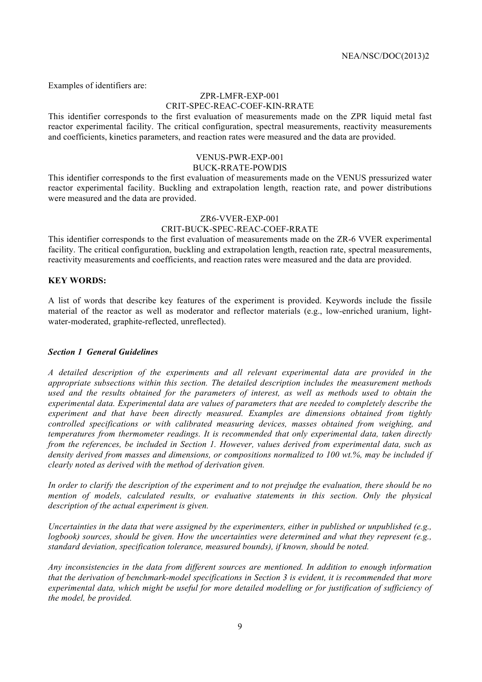Examples of identifiers are:

#### ZPR-LMFR-EXP-001 CRIT-SPEC-REAC-COEF-KIN-RRATE

This identifier corresponds to the first evaluation of measurements made on the ZPR liquid metal fast reactor experimental facility. The critical configuration, spectral measurements, reactivity measurements and coefficients, kinetics parameters, and reaction rates were measured and the data are provided.

#### VENUS-PWR-EXP-001 BUCK-RRATE-POWDIS

This identifier corresponds to the first evaluation of measurements made on the VENUS pressurized water reactor experimental facility. Buckling and extrapolation length, reaction rate, and power distributions were measured and the data are provided.

#### ZR6-VVER-EXP-001

#### CRIT-BUCK-SPEC-REAC-COEF-RRATE

This identifier corresponds to the first evaluation of measurements made on the ZR-6 VVER experimental facility. The critical configuration, buckling and extrapolation length, reaction rate, spectral measurements, reactivity measurements and coefficients, and reaction rates were measured and the data are provided.

#### **KEY WORDS:**

A list of words that describe key features of the experiment is provided. Keywords include the fissile material of the reactor as well as moderator and reflector materials (e.g., low-enriched uranium, lightwater-moderated, graphite-reflected, unreflected).

#### *Section 1 General Guidelines*

*A detailed description of the experiments and all relevant experimental data are provided in the appropriate subsections within this section. The detailed description includes the measurement methods used and the results obtained for the parameters of interest, as well as methods used to obtain the experimental data. Experimental data are values of parameters that are needed to completely describe the experiment and that have been directly measured. Examples are dimensions obtained from tightly controlled specifications or with calibrated measuring devices, masses obtained from weighing, and temperatures from thermometer readings. It is recommended that only experimental data, taken directly from the references, be included in Section 1. However, values derived from experimental data, such as density derived from masses and dimensions, or compositions normalized to 100 wt.%, may be included if clearly noted as derived with the method of derivation given.*

*In order to clarify the description of the experiment and to not prejudge the evaluation, there should be no mention of models, calculated results, or evaluative statements in this section. Only the physical description of the actual experiment is given.*

*Uncertainties in the data that were assigned by the experimenters, either in published or unpublished (e.g., logbook) sources, should be given. How the uncertainties were determined and what they represent (e.g., standard deviation, specification tolerance, measured bounds), if known, should be noted.*

*Any inconsistencies in the data from different sources are mentioned. In addition to enough information that the derivation of benchmark-model specifications in Section 3 is evident, it is recommended that more experimental data, which might be useful for more detailed modelling or for justification of sufficiency of the model, be provided.*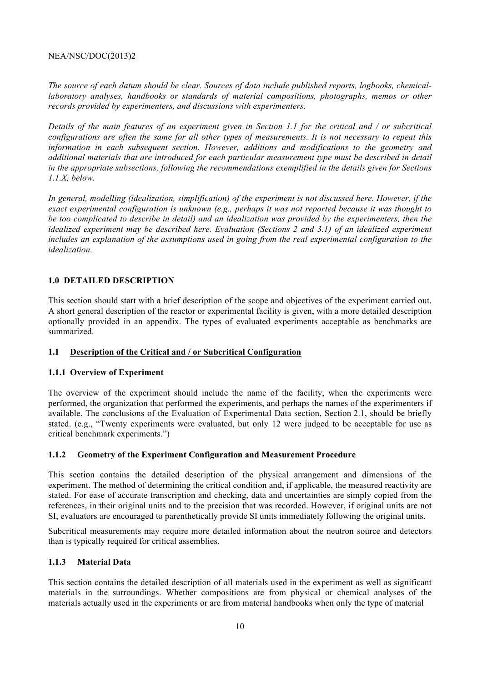#### NEA/NSC/DOC(2013)2

*The source of each datum should be clear. Sources of data include published reports, logbooks, chemicallaboratory analyses, handbooks or standards of material compositions, photographs, memos or other records provided by experimenters, and discussions with experimenters.*

*Details of the main features of an experiment given in Section 1.1 for the critical and / or subcritical configurations are often the same for all other types of measurements. It is not necessary to repeat this information in each subsequent section. However, additions and modifications to the geometry and additional materials that are introduced for each particular measurement type must be described in detail in the appropriate subsections, following the recommendations exemplified in the details given for Sections 1.1.X, below.*

*In general, modelling (idealization, simplification) of the experiment is not discussed here. However, if the exact experimental configuration is unknown (e.g., perhaps it was not reported because it was thought to be too complicated to describe in detail) and an idealization was provided by the experimenters, then the idealized experiment may be described here. Evaluation (Sections 2 and 3.1) of an idealized experiment*  includes an explanation of the assumptions used in going from the real experimental configuration to the *idealization.*

#### **1.0 DETAILED DESCRIPTION**

This section should start with a brief description of the scope and objectives of the experiment carried out. A short general description of the reactor or experimental facility is given, with a more detailed description optionally provided in an appendix. The types of evaluated experiments acceptable as benchmarks are summarized.

#### **1.1 Description of the Critical and / or Subcritical Configuration**

#### **1.1.1 Overview of Experiment**

The overview of the experiment should include the name of the facility, when the experiments were performed, the organization that performed the experiments, and perhaps the names of the experimenters if available. The conclusions of the Evaluation of Experimental Data section, Section 2.1, should be briefly stated. (e.g., "Twenty experiments were evaluated, but only 12 were judged to be acceptable for use as critical benchmark experiments.")

#### **1.1.2 Geometry of the Experiment Configuration and Measurement Procedure**

This section contains the detailed description of the physical arrangement and dimensions of the experiment. The method of determining the critical condition and, if applicable, the measured reactivity are stated. For ease of accurate transcription and checking, data and uncertainties are simply copied from the references, in their original units and to the precision that was recorded. However, if original units are not SI, evaluators are encouraged to parenthetically provide SI units immediately following the original units.

Subcritical measurements may require more detailed information about the neutron source and detectors than is typically required for critical assemblies.

#### **1.1.3 Material Data**

This section contains the detailed description of all materials used in the experiment as well as significant materials in the surroundings. Whether compositions are from physical or chemical analyses of the materials actually used in the experiments or are from material handbooks when only the type of material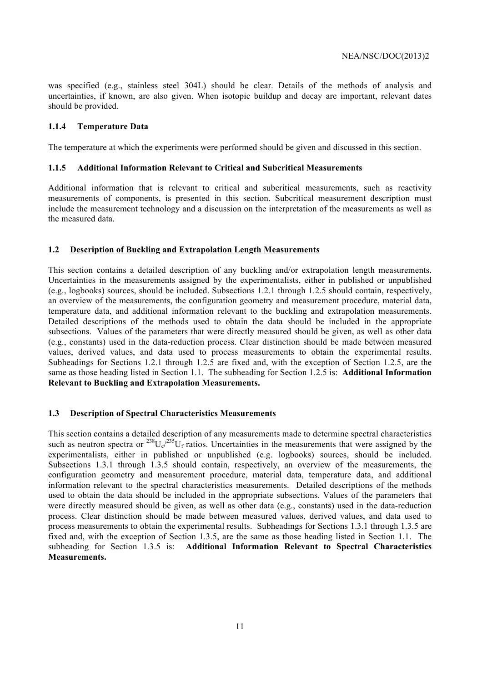was specified (e.g., stainless steel 304L) should be clear. Details of the methods of analysis and uncertainties, if known, are also given. When isotopic buildup and decay are important, relevant dates should be provided.

#### **1.1.4 Temperature Data**

The temperature at which the experiments were performed should be given and discussed in this section.

#### **1.1.5 Additional Information Relevant to Critical and Subcritical Measurements**

Additional information that is relevant to critical and subcritical measurements, such as reactivity measurements of components, is presented in this section. Subcritical measurement description must include the measurement technology and a discussion on the interpretation of the measurements as well as the measured data.

#### **1.2 Description of Buckling and Extrapolation Length Measurements**

This section contains a detailed description of any buckling and/or extrapolation length measurements. Uncertainties in the measurements assigned by the experimentalists, either in published or unpublished (e.g., logbooks) sources, should be included. Subsections 1.2.1 through 1.2.5 should contain, respectively, an overview of the measurements, the configuration geometry and measurement procedure, material data, temperature data, and additional information relevant to the buckling and extrapolation measurements. Detailed descriptions of the methods used to obtain the data should be included in the appropriate subsections. Values of the parameters that were directly measured should be given, as well as other data (e.g., constants) used in the data-reduction process. Clear distinction should be made between measured values, derived values, and data used to process measurements to obtain the experimental results. Subheadings for Sections 1.2.1 through 1.2.5 are fixed and, with the exception of Section 1.2.5, are the same as those heading listed in Section 1.1. The subheading for Section 1.2.5 is: **Additional Information Relevant to Buckling and Extrapolation Measurements.**

#### **1.3 Description of Spectral Characteristics Measurements**

This section contains a detailed description of any measurements made to determine spectral characteristics such as neutron spectra or  $^{238}U_c^{235}U_f$  ratios. Uncertainties in the measurements that were assigned by the experimentalists, either in published or unpublished (e.g. logbooks) sources, should be included. Subsections 1.3.1 through 1.3.5 should contain, respectively, an overview of the measurements, the configuration geometry and measurement procedure, material data, temperature data, and additional information relevant to the spectral characteristics measurements. Detailed descriptions of the methods used to obtain the data should be included in the appropriate subsections. Values of the parameters that were directly measured should be given, as well as other data (e.g., constants) used in the data-reduction process. Clear distinction should be made between measured values, derived values, and data used to process measurements to obtain the experimental results. Subheadings for Sections 1.3.1 through 1.3.5 are fixed and, with the exception of Section 1.3.5, are the same as those heading listed in Section 1.1. The subheading for Section 1.3.5 is: **Additional Information Relevant to Spectral Characteristics Measurements.**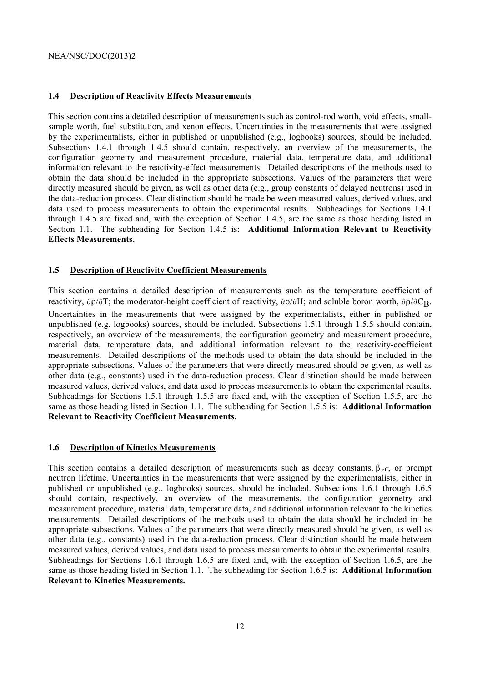#### **1.4 Description of Reactivity Effects Measurements**

This section contains a detailed description of measurements such as control-rod worth, void effects, smallsample worth, fuel substitution, and xenon effects. Uncertainties in the measurements that were assigned by the experimentalists, either in published or unpublished (e.g., logbooks) sources, should be included. Subsections 1.4.1 through 1.4.5 should contain, respectively, an overview of the measurements, the configuration geometry and measurement procedure, material data, temperature data, and additional information relevant to the reactivity-effect measurements. Detailed descriptions of the methods used to obtain the data should be included in the appropriate subsections. Values of the parameters that were directly measured should be given, as well as other data (e.g., group constants of delayed neutrons) used in the data-reduction process. Clear distinction should be made between measured values, derived values, and data used to process measurements to obtain the experimental results. Subheadings for Sections 1.4.1 through 1.4.5 are fixed and, with the exception of Section 1.4.5, are the same as those heading listed in Section 1.1. The subheading for Section 1.4.5 is: **Additional Information Relevant to Reactivity Effects Measurements.**

#### **1.5 Description of Reactivity Coefficient Measurements**

This section contains a detailed description of measurements such as the temperature coefficient of reactivity,  $\partial \rho / \partial T$ ; the moderator-height coefficient of reactivity,  $\partial \rho / \partial H$ ; and soluble boron worth,  $\partial \rho / \partial C_R$ . Uncertainties in the measurements that were assigned by the experimentalists, either in published or unpublished (e.g. logbooks) sources, should be included. Subsections 1.5.1 through 1.5.5 should contain, respectively, an overview of the measurements, the configuration geometry and measurement procedure, material data, temperature data, and additional information relevant to the reactivity-coefficient measurements. Detailed descriptions of the methods used to obtain the data should be included in the appropriate subsections. Values of the parameters that were directly measured should be given, as well as other data (e.g., constants) used in the data-reduction process. Clear distinction should be made between measured values, derived values, and data used to process measurements to obtain the experimental results. Subheadings for Sections 1.5.1 through 1.5.5 are fixed and, with the exception of Section 1.5.5, are the same as those heading listed in Section 1.1. The subheading for Section 1.5.5 is: **Additional Information Relevant to Reactivity Coefficient Measurements.**

#### **1.6 Description of Kinetics Measurements**

This section contains a detailed description of measurements such as decay constants,  $\beta_{\text{eff}}$ , or prompt neutron lifetime. Uncertainties in the measurements that were assigned by the experimentalists, either in published or unpublished (e.g., logbooks) sources, should be included. Subsections 1.6.1 through 1.6.5 should contain, respectively, an overview of the measurements, the configuration geometry and measurement procedure, material data, temperature data, and additional information relevant to the kinetics measurements. Detailed descriptions of the methods used to obtain the data should be included in the appropriate subsections. Values of the parameters that were directly measured should be given, as well as other data (e.g., constants) used in the data-reduction process. Clear distinction should be made between measured values, derived values, and data used to process measurements to obtain the experimental results. Subheadings for Sections 1.6.1 through 1.6.5 are fixed and, with the exception of Section 1.6.5, are the same as those heading listed in Section 1.1. The subheading for Section 1.6.5 is: **Additional Information Relevant to Kinetics Measurements.**